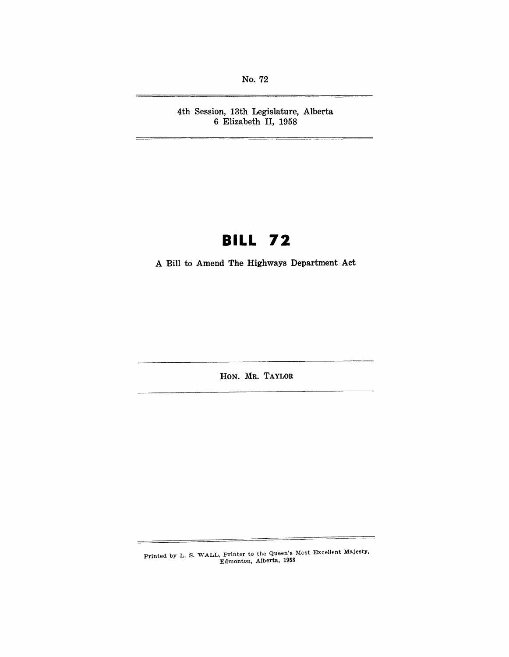No. 72

4th Session, 13th Legislature, Alberta 6 Elizabeth II, 1958

—

# **BILL 72**

A Bill to Amend The Highways Department Act

HON. MR. TAYLOR

Printed by L. S. WALL, Printer to the Queen's Most Excellent Majesty, Edmonton, Alberta, 1958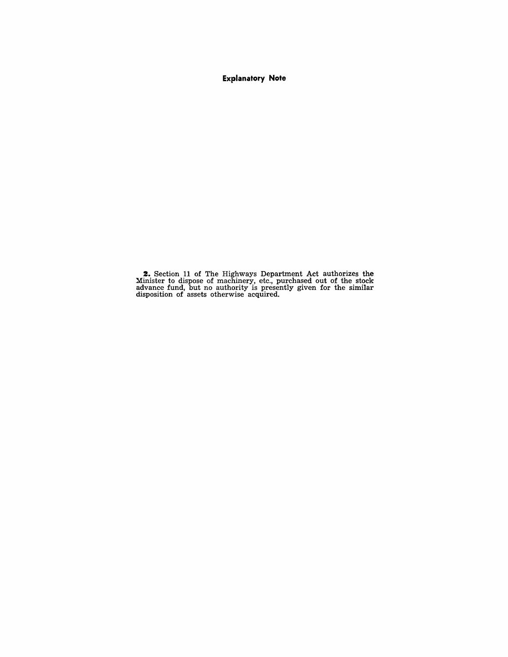**Explanatory Note** 

**z.** Section 11 of The Highways Department Act authorizes the Minister to dispose of machinery, etc., purchased out of the stock advance fund, but no authority is presently given for the similar disposition of assets otherwise acquired.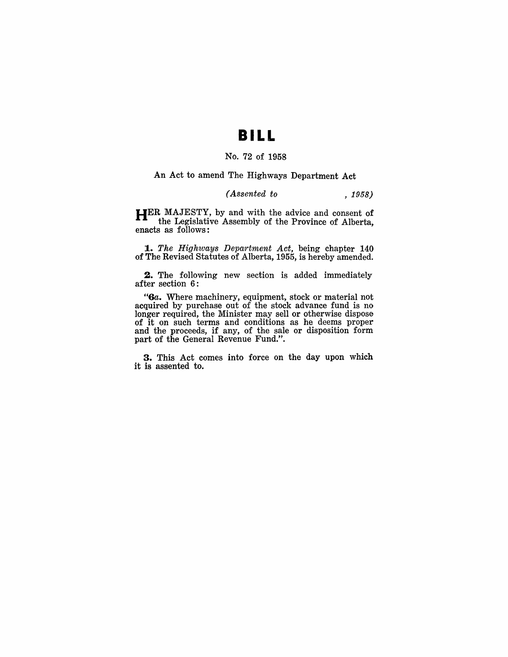### **BILL**

#### No. 72 of 1958

An Act to amend The Highways Department Act

#### *(Assented to* , 1958)

**HER** MAJESTY, by and with the advice and consent of the Legislative Assembly of the Province of Alberta, enacts as follows:

*1 .• The Highways Department Act,* being chapter 140 of The Revised Statutes of Alberta, 1955, is hereby amended.

**2.** The following new section is added immediately after section 6:

*"Ga.* Where machinery, equipment, stock or material not acquired by purchase out of the stock advance fund is no longer required, the Minister may sell or otherwise dispose of it on such terms and conditions as he deems proper and the proceeds, if any, of the sale or disposition form part of the General Revenue Fund.".

**3.** This Act comes into force on the day upon which it is assented to.